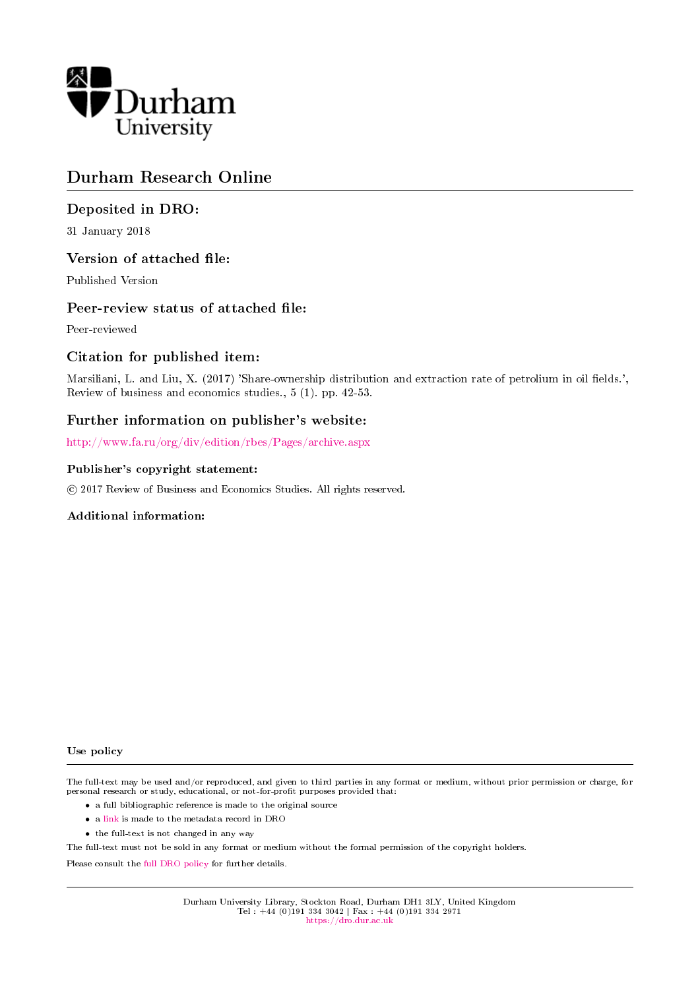

# Durham Research Online

### Deposited in DRO:

31 January 2018

### Version of attached file:

Published Version

### Peer-review status of attached file:

Peer-reviewed

### Citation for published item:

Marsiliani, L. and Liu, X. (2017) 'Share-ownership distribution and extraction rate of petrolium in oil fields.', Review of business and economics studies., 5 (1). pp. 42-53.

### Further information on publisher's website:

<http://www.fa.ru/org/div/edition/rbes/Pages/archive.aspx>

### Publisher's copyright statement:

c 2017 Review of Business and Economics Studies. All rights reserved.

### Additional information:

#### Use policy

The full-text may be used and/or reproduced, and given to third parties in any format or medium, without prior permission or charge, for personal research or study, educational, or not-for-profit purposes provided that:

- a full bibliographic reference is made to the original source
- a [link](http://dro.dur.ac.uk/21287/) is made to the metadata record in DRO
- the full-text is not changed in any way

The full-text must not be sold in any format or medium without the formal permission of the copyright holders.

Please consult the [full DRO policy](https://dro.dur.ac.uk/policies/usepolicy.pdf) for further details.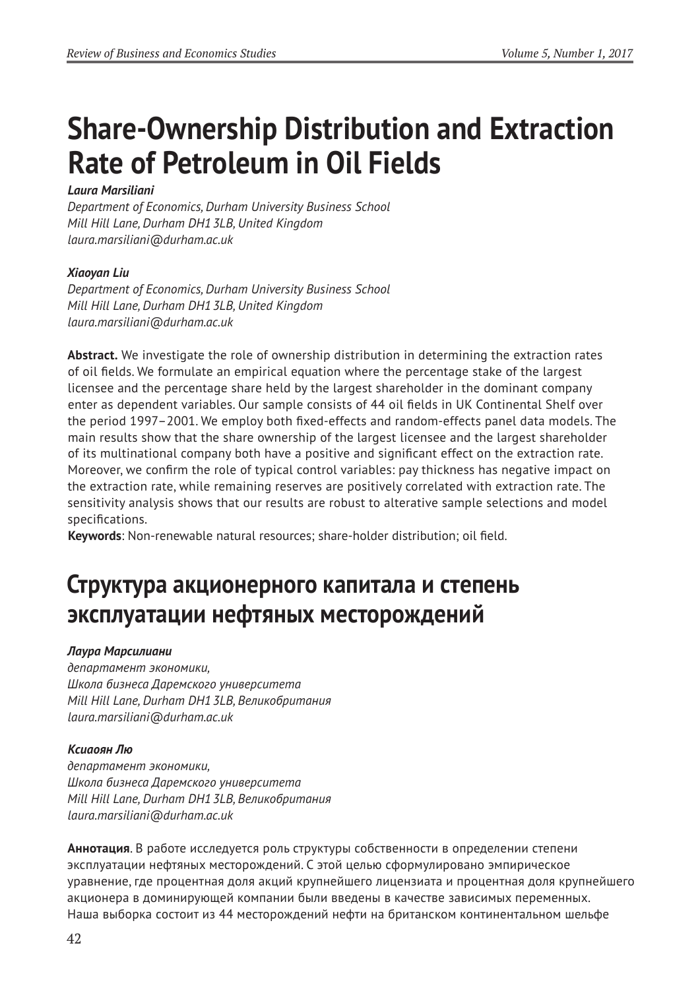# **Share-Ownership Distribution and Extraction Rate of Petroleum in Oil Fields**

# *Laura Marsiliani*

*Department of Economics, Durham University Business School Mill Hill Lane, Durham DH13LB, United Kingdom laura.marsiliani@durham.ac.uk*

# *Xiaoyan Liu*

*Department of Economics, Durham University Business School Mill Hill Lane, Durham DH13LB, United Kingdom laura.marsiliani@durham.ac.uk*

**Abstract.** We investigate the role of ownership distribution in determining the extraction rates of oil fields. We formulate an empirical equation where the percentage stake of the largest licensee and the percentage share held by the largest shareholder in the dominant company enter as dependent variables. Our sample consists of 44 oil fields in UK Continental Shelf over the period 1997–2001. We employ both fixed-effects and random-effects panel data models. The main results show that the share ownership of the largest licensee and the largest shareholder of its multinational company both have a positive and significant effect on the extraction rate. Moreover, we confirm the role of typical control variables: pay thickness has negative impact on the extraction rate, while remaining reserves are positively correlated with extraction rate. The sensitivity analysis shows that our results are robust to alterative sample selections and model specifications.

**Keywords**: Non-renewable natural resources; share-holder distribution; oil field.

# **Структура акционерного капитала и степень эксплуатации нефтяных месторождений**

### *Лаура Марсилиани*

*департамент экономики, Школа бизнеса Даремского университета Mill Hill Lane, Durham DH13LB, Великобритания laura.marsiliani@durham.ac.uk*

### *Ксиаоян Лю*

*департамент экономики, Школа бизнеса Даремского университета Mill Hill Lane, Durham DH13LB, Великобритания laura.marsiliani@durham.ac.uk*

**Аннотация**. В работе исследуется роль структуры собственности в определении степени эксплуатации нефтяных месторождений. С этой целью сформулировано эмпирическое уравнение, где процентная доля акций крупнейшего лицензиата и процентная доля крупнейшего акционера в доминирующей компании были введены в качестве зависимых переменных. Наша выборка состоит из 44 месторождений нефти на британском континентальном шельфе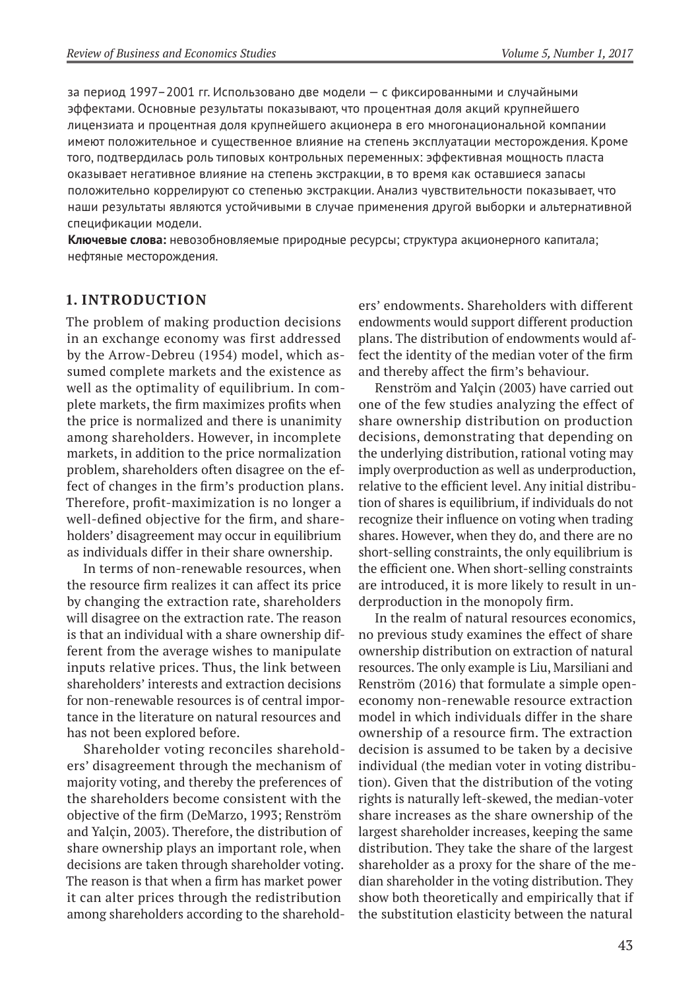за период 1997–2001 гг. Использовано две модели — с фиксированными и случайными эффектами. Основные результаты показывают, что процентная доля акций крупнейшего лицензиата и процентная доля крупнейшего акционера в его многонациональной компании имеют положительное и существенное влияние на степень эксплуатации месторождения. Кроме того, подтвердилась роль типовых контрольных переменных: эффективная мощность пласта оказывает негативное влияние на степень экстракции, в то время как оставшиеся запасы положительно коррелируют со степенью экстракции. Анализ чувствительности показывает, что наши результаты являются устойчивыми в случае применения другой выборки и альтернативной спецификации модели.

**Ключевые слова:** невозобновляемые природные ресурсы; структура акционерного капитала; нефтяные месторождения.

### **1. Introduction**

The problem of making production decisions in an exchange economy was first addressed by the Arrow-Debreu (1954) model, which assumed complete markets and the existence as well as the optimality of equilibrium. In complete markets, the firm maximizes profits when the price is normalized and there is unanimity among shareholders. However, in incomplete markets, in addition to the price normalization problem, shareholders often disagree on the effect of changes in the firm's production plans. Therefore, profit-maximization is no longer a well-defined objective for the firm, and shareholders' disagreement may occur in equilibrium as individuals differ in their share ownership.

In terms of non-renewable resources, when the resource firm realizes it can affect its price by changing the extraction rate, shareholders will disagree on the extraction rate. The reason is that an individual with a share ownership different from the average wishes to manipulate inputs relative prices. Thus, the link between shareholders' interests and extraction decisions for non-renewable resources is of central importance in the literature on natural resources and has not been explored before.

Shareholder voting reconciles shareholders' disagreement through the mechanism of majority voting, and thereby the preferences of the shareholders become consistent with the objective of the firm (DeMarzo, 1993; Renström and Yalçin, 2003). Therefore, the distribution of share ownership plays an important role, when decisions are taken through shareholder voting. The reason is that when a firm has market power it can alter prices through the redistribution among shareholders according to the shareholders' endowments. Shareholders with different endowments would support different production plans. The distribution of endowments would affect the identity of the median voter of the firm and thereby affect the firm's behaviour.

Renström and Yalçin (2003) have carried out one of the few studies analyzing the effect of share ownership distribution on production decisions, demonstrating that depending on the underlying distribution, rational voting may imply overproduction as well as underproduction, relative to the efficient level. Any initial distribution of shares is equilibrium, if individuals do not recognize their influence on voting when trading shares. However, when they do, and there are no short-selling constraints, the only equilibrium is the efficient one. When short-selling constraints are introduced, it is more likely to result in underproduction in the monopoly firm.

In the realm of natural resources economics, no previous study examines the effect of share ownership distribution on extraction of natural resources. The only example is Liu, Marsiliani and Renström (2016) that formulate a simple openeconomy non-renewable resource extraction model in which individuals differ in the share ownership of a resource firm. The extraction decision is assumed to be taken by a decisive individual (the median voter in voting distribution). Given that the distribution of the voting rights is naturally left-skewed, the median-voter share increases as the share ownership of the largest shareholder increases, keeping the same distribution. They take the share of the largest shareholder as a proxy for the share of the median shareholder in the voting distribution. They show both theoretically and empirically that if the substitution elasticity between the natural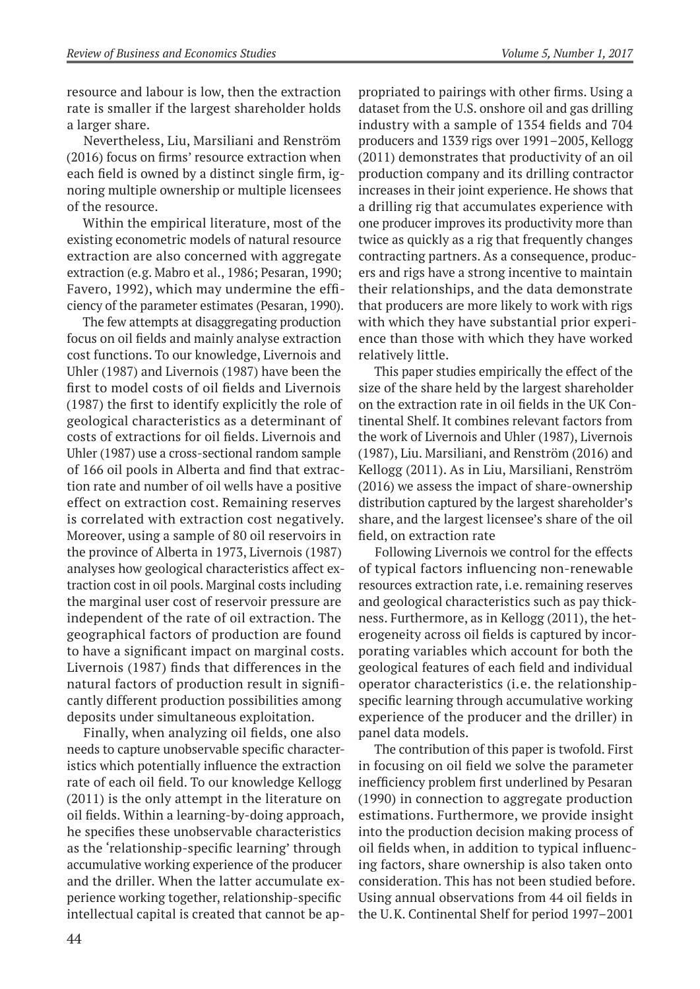resource and labour is low, then the extraction rate is smaller if the largest shareholder holds a larger share.

Nevertheless, Liu, Marsiliani and Renström (2016) focus on firms' resource extraction when each field is owned by a distinct single firm, ignoring multiple ownership or multiple licensees of the resource.

Within the empirical literature, most of the existing econometric models of natural resource extraction are also concerned with aggregate extraction (e.g. Mabro et al., 1986; Pesaran, 1990; Favero, 1992), which may undermine the efficiency of the parameter estimates (Pesaran, 1990).

The few attempts at disaggregating production focus on oil fields and mainly analyse extraction cost functions. To our knowledge, Livernois and Uhler (1987) and Livernois (1987) have been the first to model costs of oil fields and Livernois (1987) the first to identify explicitly the role of geological characteristics as a determinant of costs of extractions for oil fields. Livernois and Uhler (1987) use a cross-sectional random sample of 166 oil pools in Alberta and find that extraction rate and number of oil wells have a positive effect on extraction cost. Remaining reserves is correlated with extraction cost negatively. Moreover, using a sample of 80 oil reservoirs in the province of Alberta in 1973, Livernois (1987) analyses how geological characteristics affect extraction cost in oil pools. Marginal costs including the marginal user cost of reservoir pressure are independent of the rate of oil extraction. The geographical factors of production are found to have a significant impact on marginal costs. Livernois (1987) finds that differences in the natural factors of production result in significantly different production possibilities among deposits under simultaneous exploitation.

Finally, when analyzing oil fields, one also needs to capture unobservable specific characteristics which potentially influence the extraction rate of each oil field. To our knowledge Kellogg (2011) is the only attempt in the literature on oil fields. Within a learning-by-doing approach, he specifies these unobservable characteristics as the 'relationship-specific learning' through accumulative working experience of the producer and the driller. When the latter accumulate experience working together, relationship-specific intellectual capital is created that cannot be ap-

propriated to pairings with other firms. Using a dataset from the U.S. onshore oil and gas drilling industry with a sample of 1354 fields and 704 producers and 1339 rigs over 1991–2005, Kellogg (2011) demonstrates that productivity of an oil production company and its drilling contractor increases in their joint experience. He shows that a drilling rig that accumulates experience with one producer improves its productivity more than twice as quickly as a rig that frequently changes contracting partners. As a consequence, producers and rigs have a strong incentive to maintain their relationships, and the data demonstrate that producers are more likely to work with rigs with which they have substantial prior experience than those with which they have worked relatively little.

This paper studies empirically the effect of the size of the share held by the largest shareholder on the extraction rate in oil fields in the UK Continental Shelf. It combines relevant factors from the work of Livernois and Uhler (1987), Livernois (1987), Liu. Marsiliani, and Renström (2016) and Kellogg (2011). As in Liu, Marsiliani, Renström (2016) we assess the impact of share-ownership distribution captured by the largest shareholder's share, and the largest licensee's share of the oil field, on extraction rate

Following Livernois we control for the effects of typical factors influencing non-renewable resources extraction rate, i.e. remaining reserves and geological characteristics such as pay thickness. Furthermore, as in Kellogg (2011), the heterogeneity across oil fields is captured by incorporating variables which account for both the geological features of each field and individual operator characteristics (i.e. the relationshipspecific learning through accumulative working experience of the producer and the driller) in panel data models.

The contribution of this paper is twofold. First in focusing on oil field we solve the parameter inefficiency problem first underlined by Pesaran (1990) in connection to aggregate production estimations. Furthermore, we provide insight into the production decision making process of oil fields when, in addition to typical influencing factors, share ownership is also taken onto consideration. This has not been studied before. Using annual observations from 44 oil fields in the U.K. Continental Shelf for period 1997–2001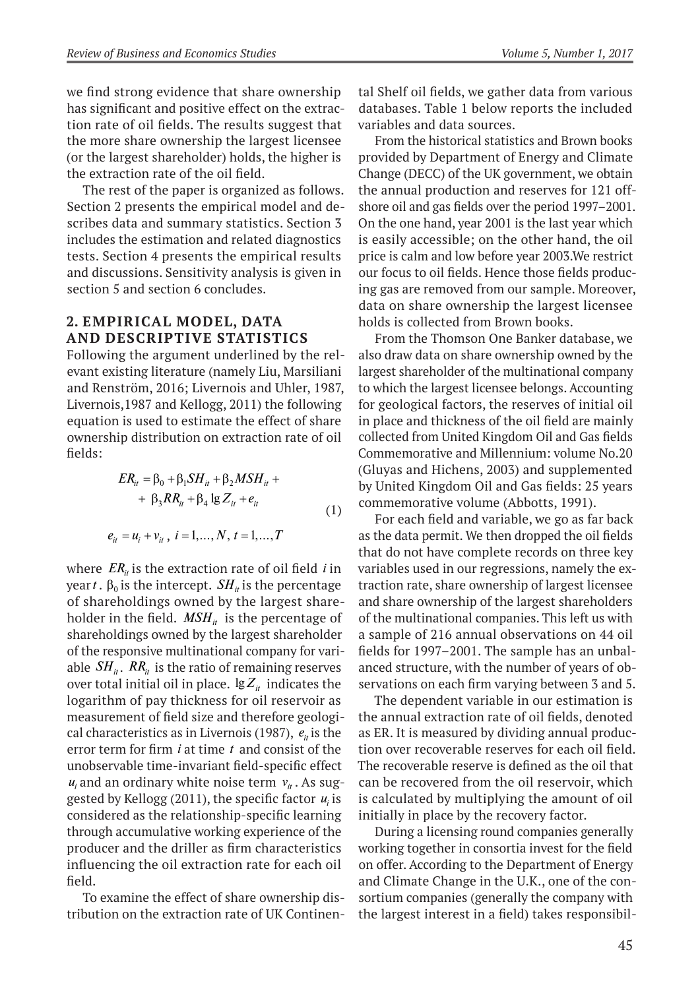we find strong evidence that share ownership has significant and positive effect on the extraction rate of oil fields. The results suggest that the more share ownership the largest licensee (or the largest shareholder) holds, the higher is the extraction rate of the oil field.

The rest of the paper is organized as follows. Section 2 presents the empirical model and describes data and summary statistics. Section 3 includes the estimation and related diagnostics tests. Section 4 presents the empirical results and discussions. Sensitivity analysis is given in section 5 and section 6 concludes.

## **2. Empirical Model, Data and Descriptive Statistics**

Following the argument underlined by the relevant existing literature (namely Liu, Marsiliani and Renström, 2016; Livernois and Uhler, 1987, Livernois,1987 and Kellogg, 2011) the following equation is used to estimate the effect of share ownership distribution on extraction rate of oil fields:

$$
ER_{ii} = \beta_0 + \beta_1 SH_{ii} + \beta_2 MSH_{ii} ++ \beta_3 RR_{ii} + \beta_4 \lg Z_{ii} + e_{ii}
$$
 (1)

$$
e_{it} = u_i + v_{it}, i = 1,..., N, t = 1,..., T
$$

where  $ER_{it}$  is the extraction rate of oil field *i* in year*t*.  $β<sub>0</sub>$  is the intercept. *SH<sub>it</sub>* is the percentage of shareholdings owned by the largest shareholder in the field.  $MSH_{it}$  is the percentage of shareholdings owned by the largest shareholder of the responsive multinational company for variable  $SH_{it}$ .  $RR_{it}$  is the ratio of remaining reserves over total initial oil in place.  $\lg Z_i$  indicates the logarithm of pay thickness for oil reservoir as measurement of field size and therefore geological characteristics as in Livernois (1987),  $e_{it}$  is the error term for firm *i* at time *t* and consist of the unobservable time-invariant field-specific effect  $u_i$  and an ordinary white noise term  $v_i$ . As suggested by Kellogg  $(2011)$ , the specific factor  $u_i$  is considered as the relationship-specific learning through accumulative working experience of the producer and the driller as firm characteristics influencing the oil extraction rate for each oil field.

To examine the effect of share ownership distribution on the extraction rate of UK Continen-

tal Shelf oil fields, we gather data from various databases. Table 1 below reports the included variables and data sources.

From the historical statistics and Brown books provided by Department of Energy and Climate Change (DECC) of the UK government, we obtain the annual production and reserves for 121 offshore oil and gas fields over the period 1997–2001. On the one hand, year 2001 is the last year which is easily accessible; on the other hand, the oil price is calm and low before year 2003.We restrict our focus to oil fields. Hence those fields producing gas are removed from our sample. Moreover, data on share ownership the largest licensee holds is collected from Brown books.

From the Thomson One Banker database, we also draw data on share ownership owned by the largest shareholder of the multinational company to which the largest licensee belongs. Accounting for geological factors, the reserves of initial oil in place and thickness of the oil field are mainly collected from United Kingdom Oil and Gas fields Commemorative and Millennium: volume No.20 (Gluyas and Hichens, 2003) and supplemented by United Kingdom Oil and Gas fields: 25 years commemorative volume (Abbotts, 1991).

For each field and variable, we go as far back as the data permit. We then dropped the oil fields that do not have complete records on three key variables used in our regressions, namely the extraction rate, share ownership of largest licensee and share ownership of the largest shareholders of the multinational companies. This left us with a sample of 216 annual observations on 44 oil fields for 1997–2001. The sample has an unbalanced structure, with the number of years of observations on each firm varying between 3 and 5.

The dependent variable in our estimation is the annual extraction rate of oil fields, denoted as ER. It is measured by dividing annual production over recoverable reserves for each oil field. The recoverable reserve is defined as the oil that can be recovered from the oil reservoir, which is calculated by multiplying the amount of oil initially in place by the recovery factor.

During a licensing round companies generally working together in consortia invest for the field on offer. According to the Department of Energy and Climate Change in the U.K., one of the consortium companies (generally the company with the largest interest in a field) takes responsibil-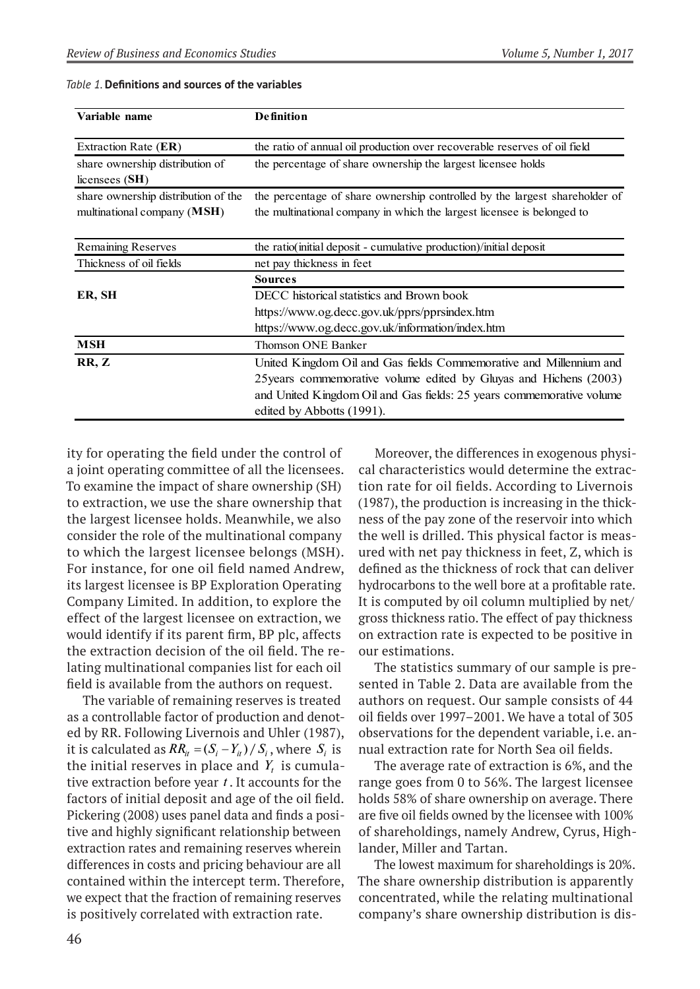| Variable name                                                      | <b>Definition</b>                                                                                                                                    |  |  |
|--------------------------------------------------------------------|------------------------------------------------------------------------------------------------------------------------------------------------------|--|--|
| Extraction Rate (ER)                                               | the ratio of annual oil production over recoverable reserves of oil field                                                                            |  |  |
| share ownership distribution of<br>licensees $(SH)$                | the percentage of share ownership the largest licensee holds                                                                                         |  |  |
| share ownership distribution of the<br>multinational company (MSH) | the percentage of share ownership controlled by the largest shareholder of<br>the multinational company in which the largest licensee is belonged to |  |  |
| Remaining Reserves                                                 | the ratio(initial deposit - cumulative production)/initial deposit                                                                                   |  |  |
| Thickness of oil fields                                            | net pay thickness in feet                                                                                                                            |  |  |
|                                                                    | <b>Sources</b>                                                                                                                                       |  |  |
| ER, SH                                                             | DECC historical statistics and Brown book                                                                                                            |  |  |
|                                                                    | https://www.og.decc.gov.uk/pprs/pprsindex.htm                                                                                                        |  |  |
|                                                                    | https://www.og.decc.gov.uk/information/index.htm                                                                                                     |  |  |
| <b>MSH</b>                                                         | <b>Thomson ONE Banker</b>                                                                                                                            |  |  |
| RR, Z                                                              | United Kingdom Oil and Gas fields Commemorative and Millennium and                                                                                   |  |  |
|                                                                    | 25 years commemorative volume edited by Gluyas and Hichens (2003)                                                                                    |  |  |
|                                                                    | and United Kingdom Oil and Gas fields: 25 years commemorative volume                                                                                 |  |  |
|                                                                    | edited by Abbotts (1991).                                                                                                                            |  |  |

*Table 1.* **Definitions and sources of the variables**

ity for operating the field under the control of a joint operating committee of all the licensees. To examine the impact of share ownership (SH) to extraction, we use the share ownership that the largest licensee holds. Meanwhile, we also consider the role of the multinational company to which the largest licensee belongs (MSH). For instance, for one oil field named Andrew, its largest licensee is BP Exploration Operating Company Limited. In addition, to explore the effect of the largest licensee on extraction, we would identify if its parent firm, BP plc, affects the extraction decision of the oil field. The relating multinational companies list for each oil field is available from the authors on request.

The variable of remaining reserves is treated as a controllable factor of production and denoted by RR. Following Livernois and Uhler (1987), it is calculated as  $RR_{it} = (S_i - Y_{it}) / S_i$ , where  $S_i$  is the initial reserves in place and  $Y_t$  is cumulative extraction before year *t* . It accounts for the factors of initial deposit and age of the oil field. Pickering (2008) uses panel data and finds a positive and highly significant relationship between extraction rates and remaining reserves wherein differences in costs and pricing behaviour are all contained within the intercept term. Therefore, we expect that the fraction of remaining reserves is positively correlated with extraction rate.

Moreover, the differences in exogenous physical characteristics would determine the extraction rate for oil fields. According to Livernois (1987), the production is increasing in the thickness of the pay zone of the reservoir into which the well is drilled. This physical factor is measured with net pay thickness in feet, Z, which is defined as the thickness of rock that can deliver hydrocarbons to the well bore at a profitable rate. It is computed by oil column multiplied by net/ gross thickness ratio. The effect of pay thickness on extraction rate is expected to be positive in our estimations.

The statistics summary of our sample is presented in Table 2. Data are available from the authors on request. Our sample consists of 44 oil fields over 1997–2001. We have a total of 305 observations for the dependent variable, i.e. annual extraction rate for North Sea oil fields.

The average rate of extraction is 6%, and the range goes from 0 to 56%. The largest licensee holds 58% of share ownership on average. There are five oil fields owned by the licensee with 100% of shareholdings, namely Andrew, Cyrus, Highlander, Miller and Tartan.

The lowest maximum for shareholdings is 20%. The share ownership distribution is apparently concentrated, while the relating multinational company's share ownership distribution is dis-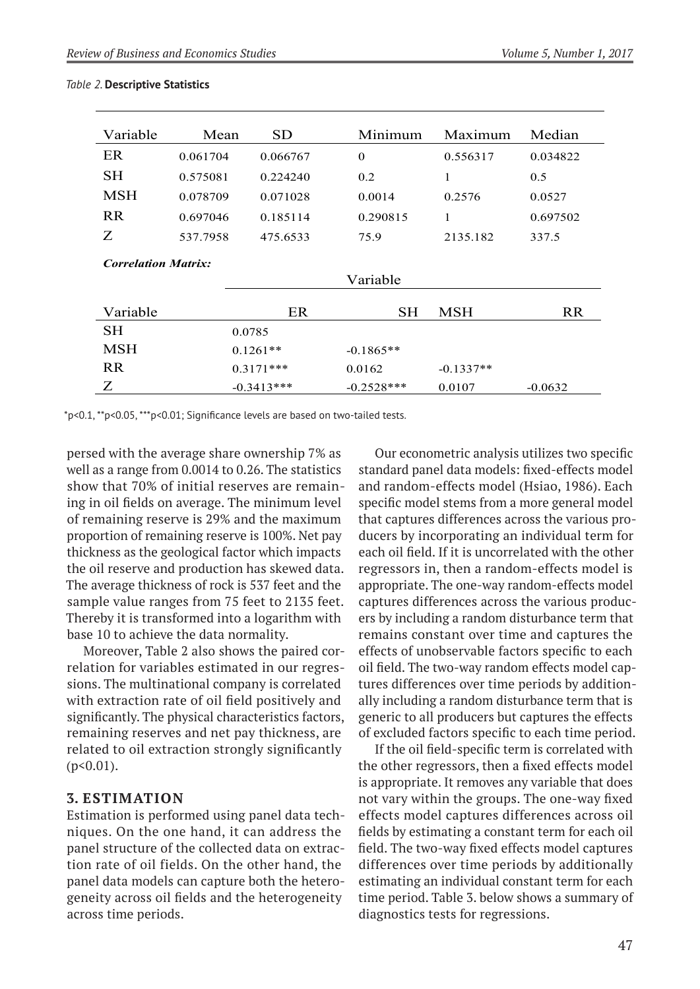| Variable<br>Mean           |                                  | <b>SD</b>    | Minimum      | Maximum     | Median    |  |
|----------------------------|----------------------------------|--------------|--------------|-------------|-----------|--|
| ER                         | 0.061704                         | 0.066767     | $\Omega$     | 0.556317    | 0.034822  |  |
| <b>SH</b>                  | 0.575081                         | 0.224240     | 0.2          | 1           | 0.5       |  |
| <b>MSH</b>                 | 0.078709                         | 0.071028     | 0.0014       |             | 0.0527    |  |
| <b>RR</b>                  | 0.290815<br>0.697046<br>0.185114 |              |              | 1           | 0.697502  |  |
| Ζ                          | 537.7958                         | 475.6533     | 75.9         | 2135.182    | 337.5     |  |
| <b>Correlation Matrix:</b> |                                  |              |              |             |           |  |
|                            |                                  | Variable     |              |             |           |  |
| Variable                   |                                  | ER           | <b>SH</b>    |             | <b>RR</b> |  |
| <b>SH</b>                  |                                  | 0.0785       |              |             |           |  |
| <b>MSH</b>                 | $0.1261**$                       |              | $-0.1865**$  |             |           |  |
| <b>RR</b>                  |                                  | $0.3171***$  | 0.0162       | $-0.1337**$ |           |  |
| Z                          |                                  | $-0.3413***$ | $-0.2528***$ | 0.0107      | $-0.0632$ |  |

### *Table 2.* **Descriptive Statistics**

\*p<0.1, \*\*p<0.05, \*\*\*p<0.01; Significance levels are based on two-tailed tests.

persed with the average share ownership 7% as well as a range from 0.0014 to 0.26. The statistics show that 70% of initial reserves are remaining in oil fields on average. The minimum level of remaining reserve is 29% and the maximum proportion of remaining reserve is 100%. Net pay thickness as the geological factor which impacts the oil reserve and production has skewed data. The average thickness of rock is 537 feet and the sample value ranges from 75 feet to 2135 feet. Thereby it is transformed into a logarithm with base 10 to achieve the data normality.

Moreover, Table 2 also shows the paired correlation for variables estimated in our regressions. The multinational company is correlated with extraction rate of oil field positively and significantly. The physical characteristics factors, remaining reserves and net pay thickness, are related to oil extraction strongly significantly  $(p<0.01)$ .

# **3. Estimation**

Estimation is performed using panel data techniques. On the one hand, it can address the panel structure of the collected data on extraction rate of oil fields. On the other hand, the panel data models can capture both the heterogeneity across oil fields and the heterogeneity across time periods.

Our econometric analysis utilizes two specific standard panel data models: fixed-effects model and random-effects model (Hsiao, 1986). Each specific model stems from a more general model that captures differences across the various producers by incorporating an individual term for each oil field. If it is uncorrelated with the other regressors in, then a random-effects model is appropriate. The one-way random-effects model captures differences across the various producers by including a random disturbance term that remains constant over time and captures the effects of unobservable factors specific to each oil field. The two-way random effects model captures differences over time periods by additionally including a random disturbance term that is generic to all producers but captures the effects of excluded factors specific to each time period.

If the oil field-specific term is correlated with the other regressors, then a fixed effects model is appropriate. It removes any variable that does not vary within the groups. The one-way fixed effects model captures differences across oil fields by estimating a constant term for each oil field. The two-way fixed effects model captures differences over time periods by additionally estimating an individual constant term for each time period. Table 3. below shows a summary of diagnostics tests for regressions.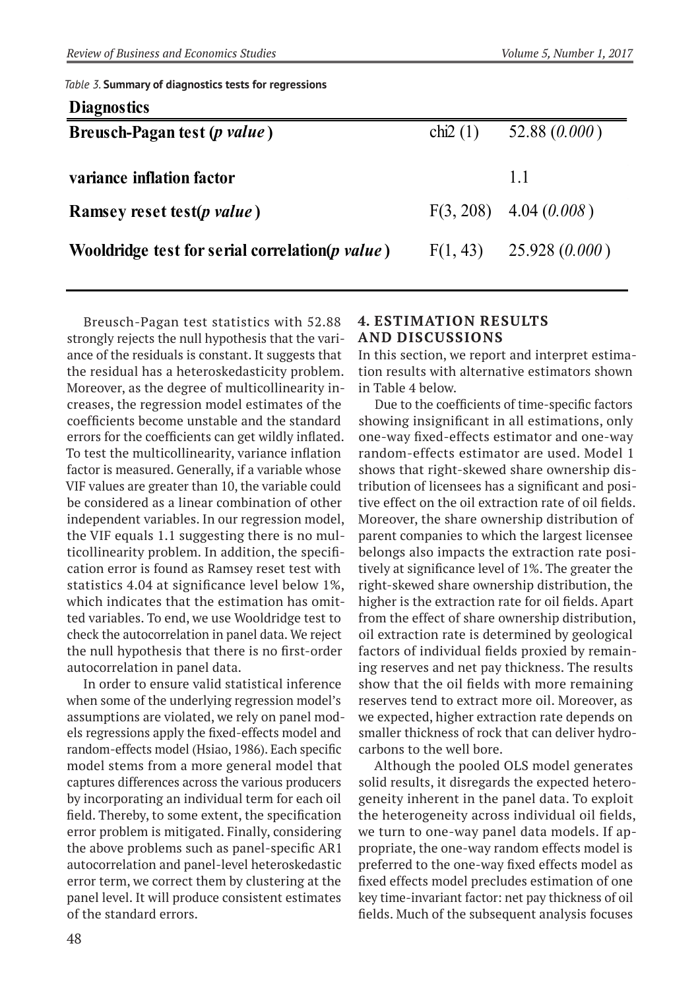*Table 3.* **Summary of diagnostics tests for regressions**

| chi <sub>2</sub> $(1)$ | 52.88(0.000)              |
|------------------------|---------------------------|
|                        |                           |
|                        | 11                        |
|                        | $F(3, 208)$ 4.04 (0.008)  |
|                        | $F(1, 43)$ 25.928 (0.000) |
|                        |                           |

Breusch-Pagan test statistics with 52.88 strongly rejects the null hypothesis that the variance of the residuals is constant. It suggests that the residual has a heteroskedasticity problem. Moreover, as the degree of multicollinearity increases, the regression model estimates of the coefficients become unstable and the standard errors for the coefficients can get wildly inflated. To test the multicollinearity, variance inflation factor is measured. Generally, if a variable whose VIF values are greater than 10, the variable could be considered as a linear combination of other independent variables. In our regression model, the VIF equals 1.1 suggesting there is no multicollinearity problem. In addition, the specification error is found as Ramsey reset test with statistics 4.04 at significance level below 1%, which indicates that the estimation has omitted variables. To end, we use Wooldridge test to check the autocorrelation in panel data. We reject the null hypothesis that there is no first-order autocorrelation in panel data.

In order to ensure valid statistical inference when some of the underlying regression model's assumptions are violated, we rely on panel models regressions apply the fixed-effects model and random-effects model (Hsiao, 1986). Each specific model stems from a more general model that captures differences across the various producers by incorporating an individual term for each oil field. Thereby, to some extent, the specification error problem is mitigated. Finally, considering the above problems such as panel-specific AR1 autocorrelation and panel-level heteroskedastic error term, we correct them by clustering at the panel level. It will produce consistent estimates of the standard errors.

# **4. Estimation Results and Discussions**

In this section, we report and interpret estimation results with alternative estimators shown in Table 4 below.

Due to the coefficients of time-specific factors showing insignificant in all estimations, only one-way fixed-effects estimator and one-way random-effects estimator are used. Model 1 shows that right-skewed share ownership distribution of licensees has a significant and positive effect on the oil extraction rate of oil fields. Moreover, the share ownership distribution of parent companies to which the largest licensee belongs also impacts the extraction rate positively at significance level of 1%. The greater the right-skewed share ownership distribution, the higher is the extraction rate for oil fields. Apart from the effect of share ownership distribution, oil extraction rate is determined by geological factors of individual fields proxied by remaining reserves and net pay thickness. The results show that the oil fields with more remaining reserves tend to extract more oil. Moreover, as we expected, higher extraction rate depends on smaller thickness of rock that can deliver hydrocarbons to the well bore.

Although the pooled OLS model generates solid results, it disregards the expected heterogeneity inherent in the panel data. To exploit the heterogeneity across individual oil fields, we turn to one-way panel data models. If appropriate, the one-way random effects model is preferred to the one-way fixed effects model as fixed effects model precludes estimation of one key time-invariant factor: net pay thickness of oil fields. Much of the subsequent analysis focuses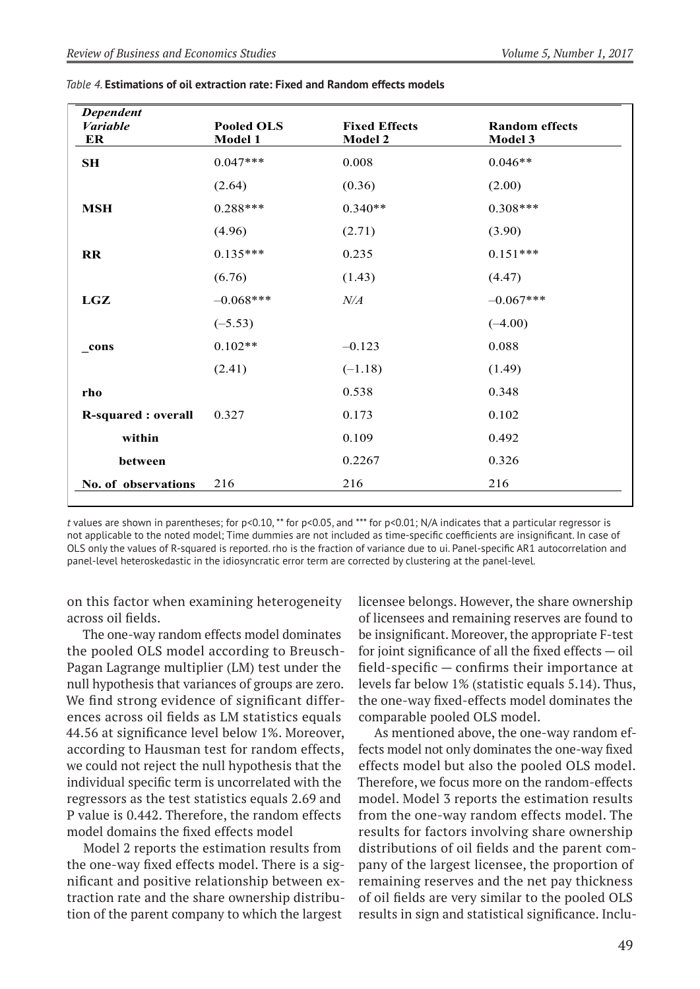| <b>Dependent</b><br><b>Variable</b><br>ER | <b>Pooled OLS</b><br>Model 1 | <b>Fixed Effects</b><br><b>Model 2</b> | <b>Random effects</b><br>Model 3 |
|-------------------------------------------|------------------------------|----------------------------------------|----------------------------------|
| SH                                        | $0.047***$                   | 0.008                                  | $0.046**$                        |
|                                           | (2.64)                       | (0.36)                                 | (2.00)                           |
| <b>MSH</b>                                | $0.288***$                   | $0.340**$                              | $0.308***$                       |
|                                           | (4.96)                       | (2.71)                                 | (3.90)                           |
| <b>RR</b>                                 | $0.135***$                   | 0.235                                  | $0.151***$                       |
|                                           | (6.76)                       | (1.43)                                 | (4.47)                           |
| LGZ                                       | $-0.068***$                  | N/A                                    | $-0.067***$                      |
|                                           | $(-5.53)$                    |                                        | $(-4.00)$                        |
| cons                                      | $0.102**$                    | $-0.123$                               | 0.088                            |
|                                           | (2.41)                       | $(-1.18)$                              | (1.49)                           |
| rho                                       |                              | 0.538                                  | 0.348                            |
| <b>R-squared : overall</b>                | 0.327                        | 0.173                                  | 0.102                            |
| within                                    |                              | 0.109                                  | 0.492                            |
| between                                   |                              | 0.2267                                 | 0.326                            |
| No. of observations                       | 216                          | 216                                    | 216                              |

| Table 4. Estimations of oil extraction rate: Fixed and Random effects models |  |
|------------------------------------------------------------------------------|--|
|------------------------------------------------------------------------------|--|

*t* values are shown in parentheses; for p<0.10, \*\* for p<0.05, and \*\*\* for p<0.01; N/A indicates that a particular regressor is not applicable to the noted model; Time dummies are not included as time-specific coefficients are insignificant. In case of OLS only the values of R-squared is reported. rho is the fraction of variance due to ui. Panel-specific AR1 autocorrelation and panel-level heteroskedastic in the idiosyncratic error term are corrected by clustering at the panel-level.

on this factor when examining heterogeneity across oil fields.

The one-way random effects model dominates the pooled OLS model according to Breusch-Pagan Lagrange multiplier (LM) test under the null hypothesis that variances of groups are zero. We find strong evidence of significant differences across oil fields as LM statistics equals 44.56 at significance level below 1%. Moreover, according to Hausman test for random effects, we could not reject the null hypothesis that the individual specific term is uncorrelated with the regressors as the test statistics equals 2.69 and P value is 0.442. Therefore, the random effects model domains the fixed effects model

Model 2 reports the estimation results from the one-way fixed effects model. There is a significant and positive relationship between extraction rate and the share ownership distribution of the parent company to which the largest

licensee belongs. However, the share ownership of licensees and remaining reserves are found to be insignificant. Moreover, the appropriate F-test for joint significance of all the fixed effects  $-$  oil field-specific — confirms their importance at levels far below 1% (statistic equals 5.14). Thus, the one-way fixed-effects model dominates the comparable pooled OLS model.

As mentioned above, the one-way random effects model not only dominates the one-way fixed effects model but also the pooled OLS model. Therefore, we focus more on the random-effects model. Model 3 reports the estimation results from the one-way random effects model. The results for factors involving share ownership distributions of oil fields and the parent company of the largest licensee, the proportion of remaining reserves and the net pay thickness of oil fields are very similar to the pooled OLS results in sign and statistical significance. Inclu-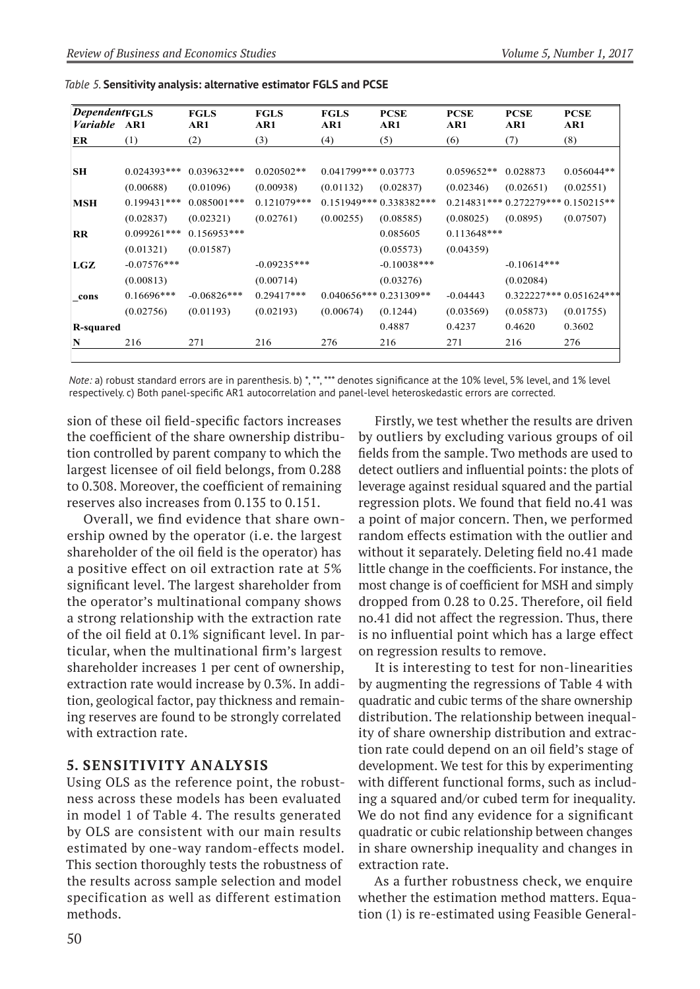| <b>Dependent FGLS</b><br><i>Variable</i> AR1 |               | <b>FGLS</b><br>AR1 | <b>FGLS</b><br>AR1 | <b>FGLS</b><br>AR1      | <b>PCSE</b><br>AR1       | <b>PCSE</b><br>AR1 | <b>PCSE</b><br>AR1                 | <b>PCSE</b><br>AR1       |
|----------------------------------------------|---------------|--------------------|--------------------|-------------------------|--------------------------|--------------------|------------------------------------|--------------------------|
| ER                                           | (1)           | (2)                | (3)                | (4)                     | (5)                      | (6)                | (7)                                | (8)                      |
|                                              |               |                    |                    |                         |                          |                    |                                    |                          |
| SН                                           | $0.024393***$ | $0.039632***$      | $0.020502**$       | $0.041799***0.03773$    |                          | $0.059652**$       | 0.028873                           | $0.056044**$             |
|                                              | (0.00688)     | (0.01096)          | (0.00938)          | (0.01132)               | (0.02837)                | (0.02346)          | (0.02651)                          | (0.02551)                |
| MSH                                          | $0.199431***$ | $0.085001***$      | $0.121079***$      |                         | $0.151949***0.338382***$ |                    | $0.214831***0.272279***0.150215**$ |                          |
|                                              | (0.02837)     | (0.02321)          | (0.02761)          | (0.00255)               | (0.08585)                | (0.08025)          | (0.0895)                           | (0.07507)                |
| $_{\rm RR}$                                  | $0.099261***$ | $0.156953***$      |                    |                         | 0.085605                 | $0.113648***$      |                                    |                          |
|                                              | (0.01321)     | (0.01587)          |                    |                         | (0.05573)                | (0.04359)          |                                    |                          |
| LGZ                                          | $-0.07576***$ |                    | $-0.09235***$      |                         | $-0.10038***$            |                    | $-0.10614***$                      |                          |
|                                              | (0.00813)     |                    | (0.00714)          |                         | (0.03276)                |                    | (0.02084)                          |                          |
| _cons                                        | $0.16696***$  | $-0.06826***$      | $0.29417***$       | $0.040656***0.231309**$ |                          | $-0.04443$         |                                    | $0.322227***0.051624***$ |
|                                              | (0.02756)     | (0.01193)          | (0.02193)          | (0.00674)               | (0.1244)                 | (0.03569)          | (0.05873)                          | (0.01755)                |
| R-squared                                    |               |                    |                    |                         | 0.4887                   | 0.4237             | 0.4620                             | 0.3602                   |
| N                                            | 216           | 271                | 216                | 276                     | 216                      | 271                | 216                                | 276                      |
|                                              |               |                    |                    |                         |                          |                    |                                    |                          |

*Table 5.* **Sensitivity analysis: alternative estimator FGLS and PCSE**

*Note: a)* robust standard errors are in parenthesis. b) \*, \*\*, \*\*\* denotes significance at the 10% level, 5% level, and 1% level respectively. c) Both panel-specific AR1 autocorrelation and panel-level heteroskedastic errors are corrected.

sion of these oil field-specific factors increases the coefficient of the share ownership distribution controlled by parent company to which the largest licensee of oil field belongs, from 0.288 to 0.308. Moreover, the coefficient of remaining reserves also increases from 0.135 to 0.151.

Overall, we find evidence that share ownership owned by the operator (i.e. the largest shareholder of the oil field is the operator) has a positive effect on oil extraction rate at 5% significant level. The largest shareholder from the operator's multinational company shows a strong relationship with the extraction rate of the oil field at 0.1% significant level. In particular, when the multinational firm's largest shareholder increases 1 per cent of ownership, extraction rate would increase by 0.3%. In addition, geological factor, pay thickness and remaining reserves are found to be strongly correlated with extraction rate.

### **5. Sensitivity Analysis**

Using OLS as the reference point, the robustness across these models has been evaluated in model 1 of Table 4. The results generated by OLS are consistent with our main results estimated by one-way random-effects model. This section thoroughly tests the robustness of the results across sample selection and model specification as well as different estimation methods.

Firstly, we test whether the results are driven by outliers by excluding various groups of oil fields from the sample. Two methods are used to detect outliers and influential points: the plots of leverage against residual squared and the partial regression plots. We found that field no.41 was a point of major concern. Then, we performed random effects estimation with the outlier and without it separately. Deleting field no.41 made little change in the coefficients. For instance, the most change is of coefficient for MSH and simply dropped from 0.28 to 0.25. Therefore, oil field no.41 did not affect the regression. Thus, there is no influential point which has a large effect on regression results to remove.

It is interesting to test for non-linearities by augmenting the regressions of Table 4 with quadratic and cubic terms of the share ownership distribution. The relationship between inequality of share ownership distribution and extraction rate could depend on an oil field's stage of development. We test for this by experimenting with different functional forms, such as including a squared and/or cubed term for inequality. We do not find any evidence for a significant quadratic or cubic relationship between changes in share ownership inequality and changes in extraction rate.

As a further robustness check, we enquire whether the estimation method matters. Equation (1) is re-estimated using Feasible General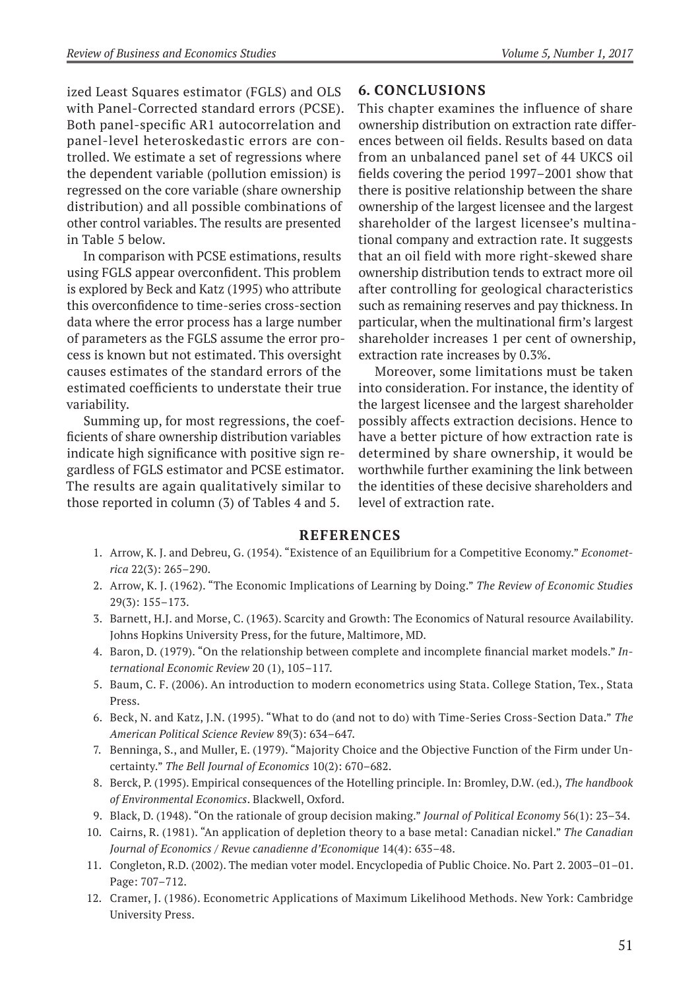ized Least Squares estimator (FGLS) and OLS with Panel-Corrected standard errors (PCSE). Both panel-specific AR1 autocorrelation and panel-level heteroskedastic errors are controlled. We estimate a set of regressions where the dependent variable (pollution emission) is regressed on the core variable (share ownership distribution) and all possible combinations of other control variables. The results are presented in Table 5 below.

In comparison with PCSE estimations, results using FGLS appear overconfident. This problem is explored by Beck and Katz (1995) who attribute this overconfidence to time-series cross-section data where the error process has a large number of parameters as the FGLS assume the error process is known but not estimated. This oversight causes estimates of the standard errors of the estimated coefficients to understate their true variability.

Summing up, for most regressions, the coefficients of share ownership distribution variables indicate high significance with positive sign regardless of FGLS estimator and PCSE estimator. The results are again qualitatively similar to those reported in column (3) of Tables 4 and 5.

# **6. Conclusions**

This chapter examines the influence of share ownership distribution on extraction rate differences between oil fields. Results based on data from an unbalanced panel set of 44 UKCS oil fields covering the period 1997–2001 show that there is positive relationship between the share ownership of the largest licensee and the largest shareholder of the largest licensee's multinational company and extraction rate. It suggests that an oil field with more right-skewed share ownership distribution tends to extract more oil after controlling for geological characteristics such as remaining reserves and pay thickness. In particular, when the multinational firm's largest shareholder increases 1 per cent of ownership, extraction rate increases by 0.3%.

Moreover, some limitations must be taken into consideration. For instance, the identity of the largest licensee and the largest shareholder possibly affects extraction decisions. Hence to have a better picture of how extraction rate is determined by share ownership, it would be worthwhile further examining the link between the identities of these decisive shareholders and level of extraction rate.

### **References**

- 1. Arrow, K. J. and Debreu, G. (1954). "Existence of an Equilibrium for a Competitive Economy." *Econometrica* 22(3): 265–290.
- 2. Arrow, K. J. (1962). "The Economic Implications of Learning by Doing." *The Review of Economic Studies* 29(3): 155–173.
- 3. Barnett, H.J. and Morse, C. (1963). Scarcity and Growth: The Economics of Natural resource Availability. Johns Hopkins University Press, for the future, Maltimore, MD.
- 4. Baron, D. (1979). "On the relationship between complete and incomplete financial market models." *International Economic Review* 20 (1), 105–117.
- 5. Baum, C. F. (2006). An introduction to modern econometrics using Stata. College Station, Tex., Stata Press.
- 6. Beck, N. and Katz, J.N. (1995). "What to do (and not to do) with Time-Series Cross-Section Data." *The American Political Science Review* 89(3): 634–647.
- 7. Benninga, S., and Muller, E. (1979). "Majority Choice and the Objective Function of the Firm under Uncertainty." *The Bell Journal of Economics* 10(2): 670–682.
- 8. Berck, P. (1995). Empirical consequences of the Hotelling principle. In: Bromley, D.W. (ed.), *The handbook of Environmental Economics*. Blackwell, Oxford.
- 9. Black, D. (1948). "On the rationale of group decision making." *Journal of Political Economy* 56(1): 23–34.
- 10. Cairns, R. (1981). "An application of depletion theory to a base metal: Canadian nickel." *The Canadian Journal of Economics / Revue canadienne d'Economique* 14(4): 635–48.
- 11. Congleton, R.D. (2002). The median voter model. Encyclopedia of Public Choice. No. Part 2. 2003–01–01. Page: 707–712.
- 12. Cramer, J. (1986). Econometric Applications of Maximum Likelihood Methods. New York: Cambridge University Press.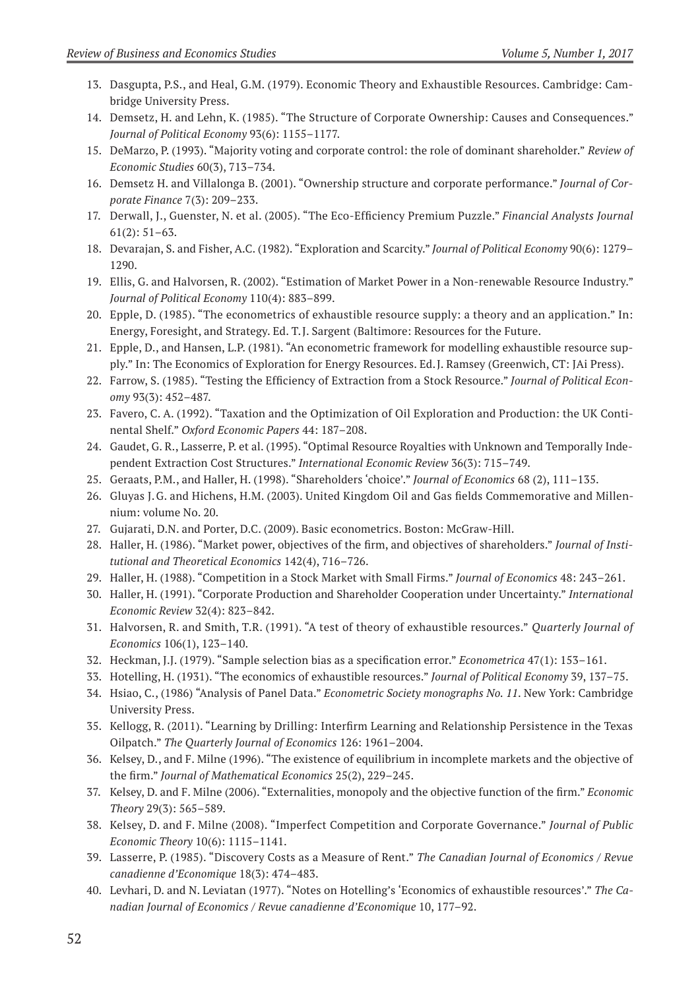- 13. Dasgupta, P.S., and Heal, G.M. (1979). Economic Theory and Exhaustible Resources. Cambridge: Cambridge University Press.
- 14. Demsetz, H. and Lehn, K. (1985). "The Structure of Corporate Ownership: Causes and Consequences." *Journal of Political Economy* 93(6): 1155–1177.
- 15. DeMarzo, P. (1993). "Majority voting and corporate control: the role of dominant shareholder." *Review of Economic Studies* 60(3), 713–734.
- 16. Demsetz H. and Villalonga B. (2001). "Ownership structure and corporate performance." *Journal of Corporate Finance* 7(3): 209–233.
- 17. Derwall, J., Guenster, N. et al. (2005). "The Eco-Efficiency Premium Puzzle." *Financial Analysts Journal* 61(2): 51–63.
- 18. Devarajan, S. and Fisher, A.C. (1982). "Exploration and Scarcity." *Journal of Political Economy* 90(6): 1279– 1290.
- 19. Ellis, G. and Halvorsen, R. (2002). "Estimation of Market Power in a Non-renewable Resource Industry." *Journal of Political Economy* 110(4): 883–899.
- 20. Epple, D. (1985). "The econometrics of exhaustible resource supply: a theory and an application." In: Energy, Foresight, and Strategy. Ed. T.J. Sargent (Baltimore: Resources for the Future.
- 21. Epple, D., and Hansen, L.P. (1981). "An econometric framework for modelling exhaustible resource supply." In: The Economics of Exploration for Energy Resources. Ed.J. Ramsey (Greenwich, CT: JAi Press).
- 22. Farrow, S. (1985). "Testing the Efficiency of Extraction from a Stock Resource." *Journal of Political Economy* 93(3): 452–487.
- 23. Favero, C. A. (1992). "Taxation and the Optimization of Oil Exploration and Production: the UK Continental Shelf." *Oxford Economic Papers* 44: 187–208.
- 24. Gaudet, G. R., Lasserre, P. et al. (1995). "Optimal Resource Royalties with Unknown and Temporally Independent Extraction Cost Structures." *International Economic Review* 36(3): 715–749.
- 25. Geraats, P.M., and Haller, H. (1998). "Shareholders 'choice'." *Journal of Economics* 68 (2), 111–135.
- 26. Gluyas J.G. and Hichens, H.M. (2003). United Kingdom Oil and Gas fields Commemorative and Millennium: volume No. 20.
- 27. Gujarati, D.N. and Porter, D.C. (2009). Basic econometrics. Boston: McGraw-Hill.
- 28. Haller, H. (1986). "Market power, objectives of the firm, and objectives of shareholders." *Journal of Institutional and Theoretical Economics* 142(4), 716–726.
- 29. Haller, H. (1988). "Competition in a Stock Market with Small Firms." *Journal of Economics* 48: 243–261.
- 30. Haller, H. (1991). "Corporate Production and Shareholder Cooperation under Uncertainty." *International Economic Review* 32(4): 823–842.
- 31. Halvorsen, R. and Smith, T.R. (1991). "A test of theory of exhaustible resources." *Quarterly Journal of Economics* 106(1), 123–140.
- 32. Heckman, J.J. (1979). "Sample selection bias as a specification error." *Econometrica* 47(1): 153–161.
- 33. Hotelling, H. (1931). "The economics of exhaustible resources." *Journal of Political Economy* 39, 137–75.
- 34. Hsiao, C., (1986) "Analysis of Panel Data." *Econometric Society monographs No. 11*. New York: Cambridge University Press.
- 35. Kellogg, R. (2011). "Learning by Drilling: Interfirm Learning and Relationship Persistence in the Texas Oilpatch." *The Quarterly Journal of Economics* 126: 1961–2004.
- 36. Kelsey, D., and F. Milne (1996). "The existence of equilibrium in incomplete markets and the objective of the firm." *Journal of Mathematical Economics* 25(2), 229–245.
- 37. Kelsey, D. and F. Milne (2006). "Externalities, monopoly and the objective function of the firm." *Economic Theory* 29(3): 565–589.
- 38. Kelsey, D. and F. Milne (2008). "Imperfect Competition and Corporate Governance." *Journal of Public Economic Theory* 10(6): 1115–1141.
- 39. Lasserre, P. (1985). "Discovery Costs as a Measure of Rent." *The Canadian Journal of Economics / Revue canadienne d'Economique* 18(3): 474–483.
- 40. Levhari, D. and N. Leviatan (1977). "Notes on Hotelling's 'Economics of exhaustible resources'." *The Canadian Journal of Economics / Revue canadienne d'Economique* 10, 177–92.